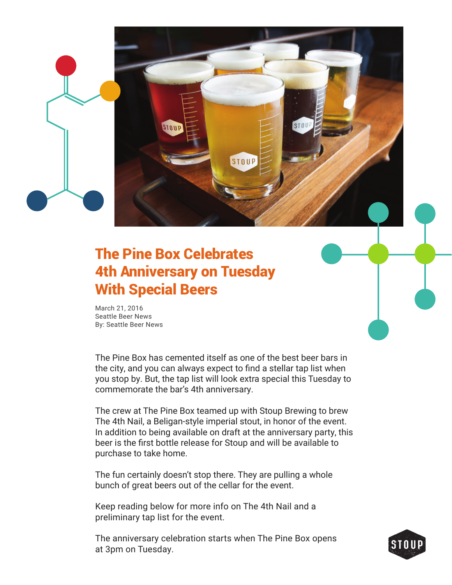The Pine Box Celebrates 4th Anniversary on Tuesday With Special Beers

STOUP

March 21, 2016 Seattle Beer News By: Seattle Beer News

The Pine Box has cemented itself as one of the best beer bars in the city, and you can always expect to find a stellar tap list when you stop by. But, the tap list will look extra special this Tuesday to commemorate the bar's 4th anniversary.

STOUP

The crew at The Pine Box teamed up with Stoup Brewing to brew The 4th Nail, a Beligan-style imperial stout, in honor of the event. In addition to being available on draft at the anniversary party, this beer is the first bottle release for Stoup and will be available to purchase to take home.

The fun certainly doesn't stop there. They are pulling a whole bunch of great beers out of the cellar for the event.

Keep reading below for more info on The 4th Nail and a preliminary tap list for the event.

The anniversary celebration starts when The Pine Box opens at 3pm on Tuesday.